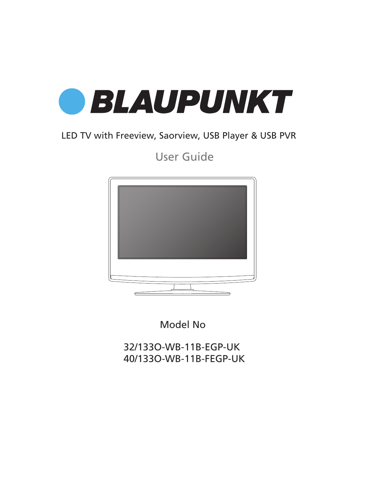

## LED TV with Freeview, Saorview, USB Player & USB PVR

User Guide



Model No

32/133O-WB-11B-EGP-UK 40/133O-WB-11B-FEGP-UK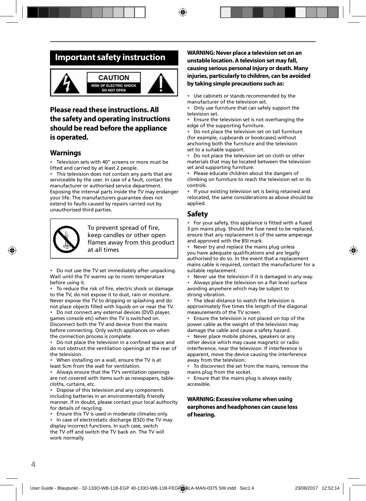## **Important safety instruction**



### **Please read these instructions. All the safety and operating instructions should be read before the appliance is operated.**

### **Warnings**

• Television sets with 40" screens or more must be lifted and carried by at least 2 people.

• This television does not contain any parts that are serviceable by the user. In case of a fault, contact the manufacturer or authorised service department. Exposing the internal parts inside the TV may endanger your life. The manufacturers guarantee does not extend to faults caused by repairs carried out by unauthorised third parties.



To prevent spread of fire. keep candles or other open flames away from this product at all times

• Do not use the TV set immediately after unpacking. Wait until the TV warms up to room temperature before using it.

To reduce the risk of fire, electric shock or damage to the TV, do not expose it to dust, rain or moisture. Never expose the TV to dripping or splashing and do not place objects filled with liquids on or near the TV.

• Do not connect any external devices (DVD player, games console etc) when the TV is switched on. Disconnect both the TV and device from the mains before connecting. Only switch appliances on when the connection process is complete.

• Do not place the television in a confined space and do not obstruct the ventilation openings at the rear of the television.

• When installing on a wall, ensure the TV is at least 5cm from the wall for ventilation.

• Always ensure that the TV's ventilation openings are not covered with items such as newspapers, tablecloths, curtains, etc.

Dispose of this television and any components including batteries in an environmentally friendly manner. If in doubt, please contact your local authority for details of recycling.

• Ensure this TV is used in moderate climates only.

• In case of electrostatic discharge (ESD) the TV may display incorrect functions. In such case, switch the TV off and switch the TV back on. The TV will work normally.

**WARNING: Never place a television set on an unstable location. A television set may fall, causing serious personal injury or death. Many injuries, particularly to children, can be avoided by taking simple precautions such as:**

• Use cabinets or stands recommended by the manufacturer of the television set.

• Only use furniture that can safely support the television set.

• Ensure the television set is not overhanging the edge of the supporting furniture.

Do not place the television set on tall furniture (for example, cupboards or bookcases) without anchoring both the furniture and the television set to a suitable support.

Do not place the television set on cloth or other materials that may be located between the television set and supporting furniture.

• Please educate children about the dangers of climbing on furniture to reach the television set or its controls.

• If your existing television set is being retained and relocated, the same considerations as above should be applied.

### **Safety**

For your safety, this appliance is fitted with a fused 3 pin mains plug. Should the fuse need to be replaced, ensure that any replacement is of the same amperage and approved with the BSI mark.

• Never try and replace the mains plug unless you have adequate qualifications and are legally authorised to do so. In the event that a replacement mains cable is required, contact the manufacturer for a suitable replacement.

Never use the television if it is damaged in any way.

Always place the television on a flat level surface avoiding anywhere which may be subject to strong vibration.

• The ideal distance to watch the television is approximately five times the length of the diagonal measurements of the TV screen.

• Ensure the television is not placed on top of the power cable as the weight of the television may damage the cable and cause a safety hazard.

• Never place mobile phones, speakers or any other device which may cause magnetic or radio interference, near the television. If interference is apparent, move the device causing the interference away from the television.

• To disconnect the set from the mains, remove the mains plug from the socket.

• Ensure that the mains plug is always easily accessible.

### **WARNING: Excessive volume when using earphones and headphones can cause loss of hearing.**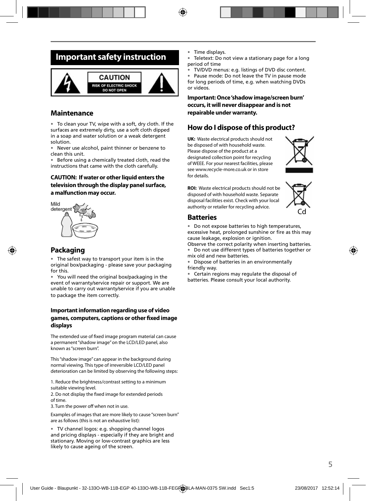## **Important safety instruction**



### **Maintenance**

• To clean your TV, wipe with a soft, dry cloth. If the surfaces are extremely dirty, use a soft cloth dipped in a soap and water solution or a weak detergent solution.

• Never use alcohol, paint thinner or benzene to clean this unit.

• Before using a chemically treated cloth, read the instructions that came with the cloth carefully.

### **CAUTION: If water or other liquid enters the television through the display panel surface, a malfunction may occur.**



### **Packaging**

The safest way to transport your item is in the original box/packaging - please save your packaging for this.

• You will need the original box/packaging in the event of warranty/service repair or support. We are unable to carry out warranty/service if you are unable to package the item correctly.

### **Important information regarding use of video**  games, computers, captions or other fixed image **displays**

The extended use of fixed image program material can cause a permanent "shadow image" on the LCD/LED panel, also known as "screen burn".

This "shadow image" can appear in the background during normal viewing. This type of irreversible LCD/LED panel deterioration can be limited by observing the following steps:

1. Reduce the brightness/contrast setting to a minimum suitable viewing level.

2. Do not display the fixed image for extended periods of time.

3. Turn the power off when not in use.

Examples of images that are more likely to cause "screen burn" are as follows (this is not an exhaustive list):

• TV channel logos: e.g. shopping channel logos and pricing displays - especially if they are bright and stationary. Moving or low-contrast graphics are less likely to cause ageing of the screen.

- Time displays.
- Teletext: Do not view a stationary page for a long period of time
- TV/DVD menus: e.g. listings of DVD disc content.

Pause mode: Do not leave the TV in pause mode for long periods of time, e.g. when watching DVDs or videos.

**Important: Once 'shadow image/screen burn' occurs, it will never disappear and is not repairable under warranty.**

### **How do I dispose of this product?**

**UK:** Waste electrical products should not be disposed of with household waste. Please dispose of the product at a designated collection point for recycling of WEEE. For your nearest facilities, please see www.recycle-more.co.uk or in store for details.



**ROI:** Waste electrical products should not be disposed of with household waste. Separate disposal facilities exist. Check with your local authority or retailer for recycling advice.



### **Batteries**

• Do not expose batteries to high temperatures, excessive heat, prolonged sunshine or fire as this may

cause leakage, explosion or ignition. Observe the correct polarity when inserting batteries.

• Do not use different types of batteries together or mix old and new batteries.

• Dispose of batteries in an environmentally friendly way.

• Certain regions may regulate the disposal of batteries. Please consult your local authority.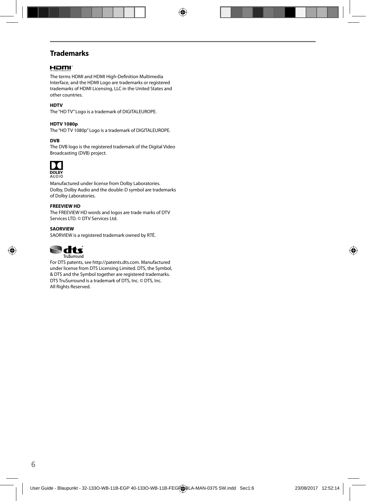### **Trademarks**

### Homr

The terms HDMI and HDMI High-Definition Multimedia Interface, and the HDMI Logo are trademarks or registered trademarks of HDMI Licensing, LLC in the United States and other countries.

### **HDTV**

The "HD TV" Logo is a trademark of DIGITALEUROPE.

#### **HDTV 1080p**

The "HD TV 1080p" Logo is a trademark of DIGITALEUROPE.

### **DVB**

The DVB logo is the registered trademark of the Digital Video Broadcasting (DVB) project.



Manufactured under license from Dolby Laboratories. Dolby, Dolby Audio and the double-D symbol are trademarks of Dolby Laboratories.

#### **FREEVIEW HD**

The FREEVIEW HD words and logos are trade marks of DTV Services LTD. © DTV Services Ltd.

#### **SAORVIEW**

SAORVIEW is a registered trademark owned by RTÉ.



For DTS patents, see http://patents.dts.com. Manufactured under license from DTS Licensing Limited. DTS, the Symbol, & DTS and the Symbol together are registered trademarks. DTS TruSurround is a trademark of DTS, Inc. © DTS, Inc. All Rights Reserved.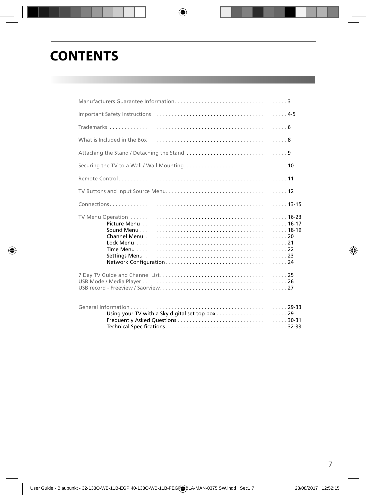# **CONTENTS**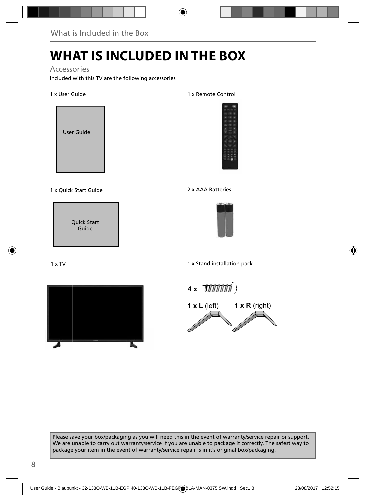# **WHAT IS INCLUDED IN THE BOX**

Accessories

Included with this TV are the following accessories

1 x User Guide



1 x Quick Start Guide 2 x AAA Batteries

Quick Start Guide

1 x TV



1 x Remote Control







1 x Stand installation pack



Please save your box/packaging as you will need this in the event of warranty/service repair or support. We are unable to carry out warranty/service if you are unable to package it correctly. The safest way to package your item in the event of warranty/service repair is in it's original box/packaging.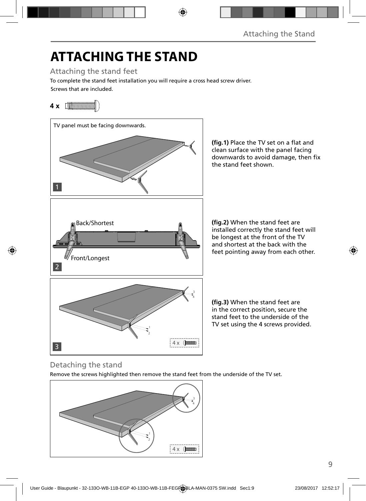# **ATTACHING THE STAND**

Attaching the stand feet

Screws that are included. To complete the stand feet installation you will require a cross head screw driver.

## **4 x** [*MMMMMMM*]



(fig.1) Place the TV set on a flat and clean surface with the panel facing downwards to avoid damage, then fix the stand feet shown.

**(fig.2)** When the stand feet are installed correctly the stand feet will be longest at the front of the TV and shortest at the back with the feet pointing away from each other.

(fig.3) When the stand feet are in the correct position, secure the stand feet to the underside of the TV set using the 4 screws provided.

## Detaching the stand

Remove the screws highlighted then remove the stand feet from the underside of the TV set.

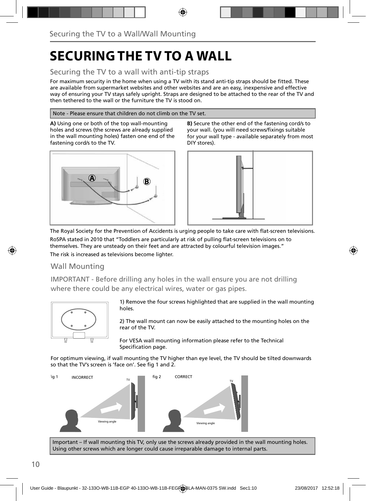# **SECURING THE TV TO A WALL**

### Securing the TV to a wall with anti-tip straps

For maximum security in the home when using a TV with its stand anti-tip straps should be fitted. These are available from supermarket websites and other websites and are an easy, inexpensive and effective way of ensuring your TV stays safely upright. Straps are designed to be attached to the rear of the TV and then tethered to the wall or the furniture the TV is stood on.

### Note - Please ensure that children do not climb on the TV set.

**A)** Using one or both of the top wall-mounting holes and screws (the screws are already supplied in the wall mounting holes) fasten one end of the fastening cord/s to the TV.



**B)** Secure the other end of the fastening cord/s to your wall. (you will need screws/fixings suitable for your wall type - available separately from most DIY stores).



The Royal Society for the Prevention of Accidents is urging people to take care with flat-screen televisions. RoSPA stated in 2010 that "Toddlers are particularly at risk of pulling flat-screen televisions on to themselves. They are unsteady on their feet and are attracted by colourful television images." The risk is increased as televisions become lighter.

### Wall Mounting

IMPORTANT - Before drilling any holes in the wall ensure you are not drilling where there could be any electrical wires, water or gas pipes.



1) Remove the four screws highlighted that are supplied in the wall mounting holes.

2) The wall mount can now be easily attached to the mounting holes on the rear of the TV.

For VESA wall mounting information please refer to the Technical Specification page.

For optimum viewing, if wall mounting the TV higher than eye level, the TV should be tilted downwards so that the TV's screen is 'face on'. See fig 1 and 2.



Important – If wall mounting this TV, only use the screws already provided in the wall mounting holes. Using other screws which are longer could cause irreparable damage to internal parts.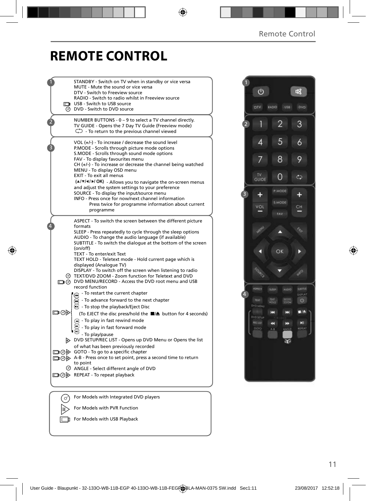## **REMOTE CONTROL**

|     | STANDBY - Switch on TV when in standby or vice versa<br>MUTE - Mute the sound or vice versa<br>DTV - Switch to Freeview source<br>RADIO - Switch to radio whilst in Freeview source<br><b>b</b> USB - Switch to USB source<br>$\overline{\odot}$ DVD - Switch to DVD source                                          |
|-----|----------------------------------------------------------------------------------------------------------------------------------------------------------------------------------------------------------------------------------------------------------------------------------------------------------------------|
|     | NUMBER BUTTONS - 0 - 9 to select a TV channel directly.<br>TV GUIDE - Opens the 7 Day TV Guide (Freeview mode)<br>$\mathbb{C}$ - To return to the previous channel viewed                                                                                                                                            |
|     | VOL $(+/-)$ - To increase / decrease the sound level<br>P.MODE - Scrolls through picture mode options<br>S.MODE - Scrolls through sound mode options<br>FAV - To display favourites menu<br>$CH (+/-)$ - To increase or decrease the channel being watched<br>MENU - To display OSD menu<br>EXIT - To exit all menus |
|     | (A/V/4/M/OK) - Allows you to navigate the on-screen menus<br>and adjust the system settings to your preference<br>SOURCE - To display the input/source menu<br>INFO - Press once for now/next channel information<br>Press twice for programme information about current<br>programme                                |
|     | ASPECT - To switch the screen between the different picture<br>formats<br>SLEEP - Press repeatedly to cycle through the sleep options<br>AUDIO - To change the audio language (if available)<br>SUBTITLE - To switch the dialogue at the bottom of the screen<br>(on/off)                                            |
|     | TEXT - To enter/exit Text<br>TEXT HOLD - Teletext mode - Hold current page which is<br>displayed (Analogue TV)<br>DISPLAY - To switch off the screen when listening to radio<br>TEXT/DVD ZOOM - Zoom function for Teletext and DVD<br>DVD MENU/RECORD - Access the DVD root menu and USB<br>record function          |
| ▭⊙⋫ | To restart the current chapter<br>- To advance forward to the next chapter<br>$\odot$ - To stop the playback/Eject Disc<br>(To EJECT the disc press/hold the ■▲ button for 4 seconds)<br>(a) - To play in fast rewind mode<br>- To play in fast forward mode                                                         |
|     | - To play/pause<br>DVD SETUP/REC LIST - Opens up DVD Menu or Opens the list<br>of what has been previously recorded<br>□ ⊙ GOTO - To go to a specific chapter<br>A-B - Press once to set point, press a second time to return<br>to point<br>ANGLE - Select different angle of DVD                                   |
|     | □ ⊙ > REPEAT - To repeat playback                                                                                                                                                                                                                                                                                    |
|     |                                                                                                                                                                                                                                                                                                                      |
| ♂   | For Models with Integrated DVD players                                                                                                                                                                                                                                                                               |
|     | For Models with PVR Function                                                                                                                                                                                                                                                                                         |

 $V$  For Models with USB Playback

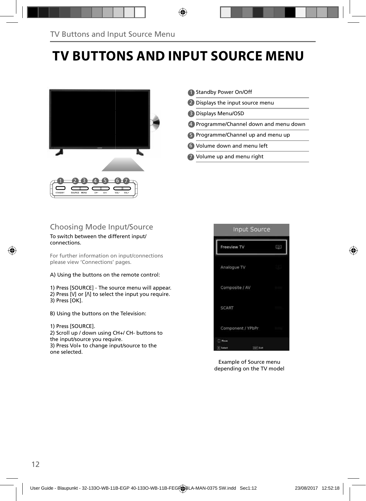# **TV BUTTONS AND INPUT SOURCE MENU**



- 1 Standby Power On/Off
- 2 Displays the input source menu
- Displays Menu/OSD 3
- Programme/Channel down and menu down 4
- 5) Programme/Channel up and menu up
- Volume down and menu left 6
- Volume up and menu right 7

### Choosing Mode Input/Source

#### To switch between the different input/ connections.

For further information on input/connections please view 'Connections' pages.

A) Using the buttons on the remote control:

1) Press [SOURCE] - The source menu will appear. 2) Press  $[V]$  or  $[\Lambda]$  to select the input you require. 3) Press [OK].

B) Using the buttons on the Television:

### 1) Press [SOURCE].

2) Scroll up / down using CH+/ CH- buttons to the input/source you require. 3) Press Vol+ to change input/source to the one selected.



Example of Source menu depending on the TV model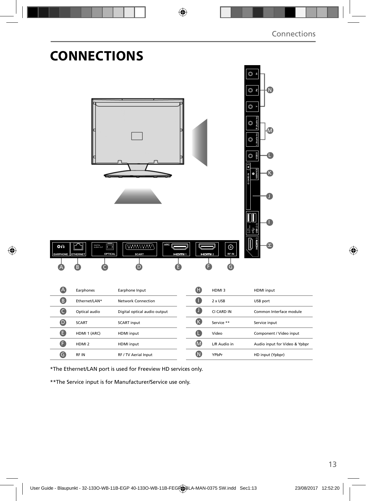|                                 | <b>CONNECTIONS</b>                           | <b>ARC</b>                                                                 |                      |                                | O<br>⊙ ≗<br>N.<br>$\circledcirc$<br>O<br>O<br>■■ |
|---------------------------------|----------------------------------------------|----------------------------------------------------------------------------|----------------------|--------------------------------|--------------------------------------------------|
| $\circ$<br><b>EARPHONE</b><br>A | s<br><b>ETHERNET</b><br>OPTICAL<br>Earphones | ( <del>THINKR)</del><br><b>HDM1</b><br><b>SCART</b><br>D<br>Earphone Input | Hami 2<br>$\bf \Phi$ | $\odot$<br>RF IN<br>G<br>HDMI3 | <b>HDMI</b> input                                |
| 8                               | Ethernet/LAN*                                | <b>Network Connection</b>                                                  | $\bullet$            | 2 x USB                        | USB port                                         |
| $\bullet$                       | Optical audio                                | Digital optical audio output                                               | $\bf o$              | CI CARD IN                     | Common Interface module                          |
| $\bullet$                       | <b>SCART</b>                                 | <b>SCART input</b>                                                         | $\bigcirc$           | Service **                     | Service input                                    |
| $\bullet$                       | HDMI 1 (ARC)                                 | HDMI input                                                                 | $\bullet$            | Video                          | Component / Video input                          |
| $\bullet$                       | HDMI <sub>2</sub>                            | HDMI input                                                                 | $\bullet$            | L/R Audio in                   | Audio input for Video & Ypbpr                    |
| $\bullet$                       | RF IN                                        | RF / TV Aerial Input                                                       | $\bigcirc$           | YPbPr                          | HD input (Ypbpr)                                 |
|                                 |                                              |                                                                            |                      |                                |                                                  |

\*The Ethernet/LAN port is used for Freeview HD services only.

\*\*The Service input is for Manufacturer/Service use only.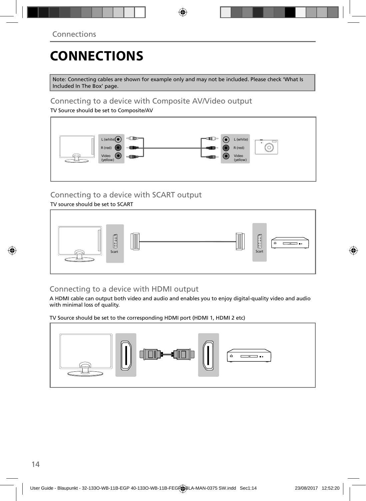# **CONNECTIONS**

Note: Connecting cables are shown for example only and may not be included. Please check 'What Is Included In The Box' page.

### Connecting to a device with Composite AV/Video output

TV Source should be set to Composite/AV



## Connecting to a device with SCART output

TV source should be set to SCART



## Connecting to a device with HDMI output

A HDMI cable can output both video and audio and enables you to enjoy digital-quality video and audio with minimal loss of quality.

TV Source should be set to the corresponding HDMI port (HDMI 1, HDMI 2 etc)

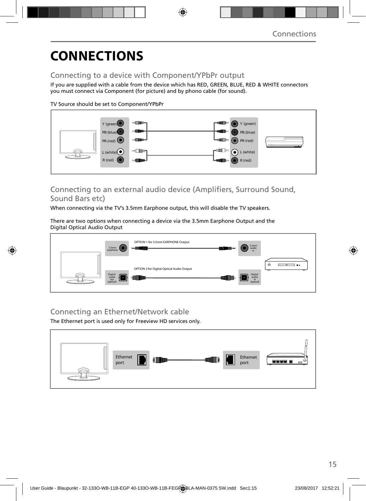# **CONNECTIONS**

## Connecting to a device with Component/YPbPr output

If you are supplied with a cable from the device which has RED, GREEN, BLUE, RED & WHITE connectors you must connect via Component (for picture) and by phono cable (for sound).

TV Source should be set to Component/YPbPr



### Connecting to an external audio device (Amplifiers, Surround Sound, Sound Bars etc)

When connecting via the TV's 3.5mm Earphone output, this will disable the TV speakers.

There are two options when connecting a device via the 3.5mm Earphone Output and the Digital Optical Audio Output



## Connecting an Ethernet/Network cable

The Ethernet port is used only for Freeview HD services only.

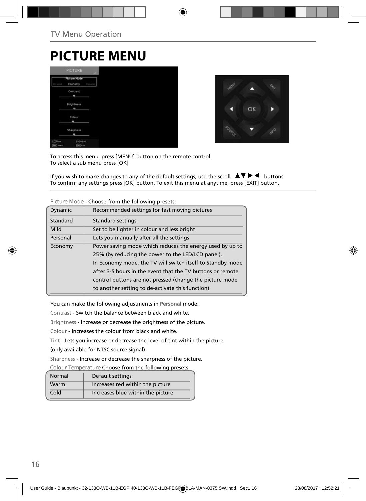## **PICTURE MENU**

|                                     | PICTURE                        | us:     |
|-------------------------------------|--------------------------------|---------|
| <b>Semina</b>                       | <b>Picture Mode</b><br>Economy | Oystand |
|                                     | Contrast<br>۰                  |         |
|                                     | <b>Brightness</b><br>m         |         |
|                                     | Colour<br>۰                    |         |
|                                     | Sharpness                      |         |
| $\sqrt{2}$ Moure<br><b>CK</b> Tered | <b>CAASUS</b><br>don't ket     |         |



To access this menu, press [MENU] button on the remote control. To select a sub menu press [OK]

If you wish to make changes to any of the default settings, use the scroll  $\Box \Box \blacktriangleright \blacktriangleleft$  buttons. To confirm any settings press [OK] button. To exit this menu at anytime, press [EXIT] button.

|          | <u>encesse nom and romoning preseasi</u>                   |
|----------|------------------------------------------------------------|
| Dynamic  | Recommended settings for fast moving pictures              |
| Standard | Standard settings                                          |
| Mild     | Set to be lighter in colour and less bright                |
| Personal | Lets you manually alter all the settings                   |
| Economy  | Power saving mode which reduces the energy used by up to   |
|          | 25% (by reducing the power to the LED/LCD panel).          |
|          | In Economy mode, the TV will switch itself to Standby mode |
|          | after 3-5 hours in the event that the TV buttons or remote |
|          | control buttons are not pressed (change the picture mode   |
|          | to another setting to de-activate this function)           |
|          |                                                            |

**Picture Mode** - Choose from the following presets:

You can make the following adjustments in **Personal** mode:

Contrast - Switch the balance between black and white.

Brightness - Increase or decrease the brightness of the picture.

Colour - Increases the colour from black and white.

Tint - Lets you increase or decrease the level of tint within the picture

(only available for NTSC source signal).

Sharpness - Increase or decrease the sharpness of the picture.

**Colour Temperature** Choose from the following presets:

| Normal | Default settings                  |
|--------|-----------------------------------|
| Warm   | Increases red within the picture  |
| Cold   | Increases blue within the picture |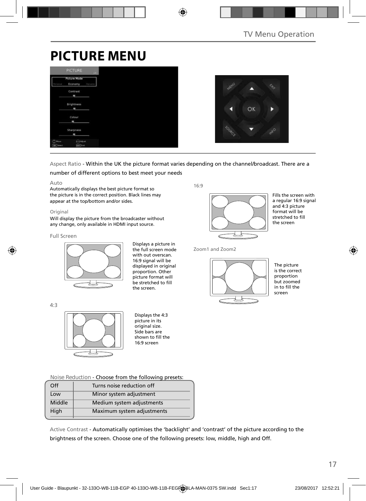# **PICTURE MENU**

|                     | <b>PICTURE</b>                 | LIE-   |
|---------------------|--------------------------------|--------|
| <b>SERVA</b>        | <b>Picture Mode</b><br>Economy | Oysami |
|                     | Contrast<br>٠                  |        |
|                     | <b>Brightness</b><br>×         |        |
|                     | Colour                         |        |
|                     | Sharpness<br>۰                 |        |
| Miller<br>OK Terect | a Adulet<br>they link          |        |



### Aspect Ratio - Within the UK the picture format varies depending on the channel/broadcast. There are a

number of different options to best meet your needs

#### Auto

Automatically displays the best picture format so the picture is in the correct position. Black lines may appear at the top/bottom and/or sides.

#### Original

Will display the picture from the broadcaster without any change, only available in HDMI input source.

#### Full Screen

4:3



Displays a picture in the full screen mode with out overscan. 16:9 signal will be displayed in original proportion. Other picture format will be stretched to fill the screen.

16:9



Fills the screen with a regular 16:9 signal and 4:3 picture format will be stretched to fill the screen

Zoom1 and Zoom2



The picture is the correct proportion but zoomed in to fill the screen



Displays the 4:3 picture in its original size. Side bars are shown to fill the 16:9 screen

**Noise Reduction** - Choose from the following presets:

| Off    | Turns noise reduction off  |
|--------|----------------------------|
| Low    | Minor system adjustment    |
| Middle | Medium system adjustments  |
| High   | Maximum system adjustments |
|        |                            |

Active Contrast - Automatically optimises the 'backlight' and 'contrast' of the picture according to the brightness of the screen. Choose one of the following presets: low, middle, high and Off.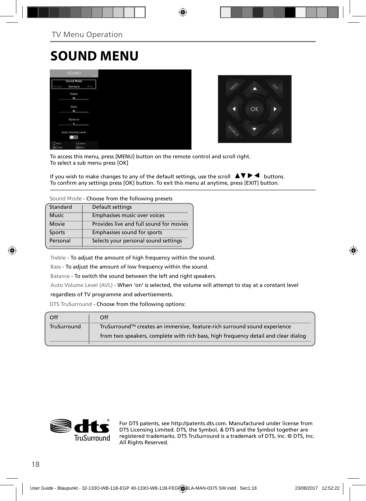# **SOUND MENU**

|                               | <b>SOUND</b>              |            |
|-------------------------------|---------------------------|------------|
|                               | Sound Mode<br>Standard    | <b>How</b> |
|                               | Treble<br>٠               |            |
|                               | Bass<br>٠                 |            |
|                               | Balance<br>٠              |            |
|                               | Auto Volume Level<br>-    |            |
| $(2)$ Hour<br><b>OK</b> Twent | Adium<br><b>Earl Katt</b> |            |



To access this menu, press [MENU] button on the remote control and scroll right. To select a sub menu press [OK]

If you wish to make changes to any of the default settings, use the scroll  $\Box \blacktriangledown \blacktriangleright \blacktriangleleft$  buttons. To confirm any settings press [OK] button. To exit this menu at anytime, press [EXIT] button.

**Sound Mode** - Choose from the following presets

| Standard     | Default settings                        |
|--------------|-----------------------------------------|
| <b>Music</b> | Emphasises music over voices            |
| Movie        | Provides live and full sound for movies |
| Sports       | Emphasises sound for sports             |
| Personal     | Selects your personal sound settings    |

Treble - To adjust the amount of high frequency within the sound.

Bass - To adjust the amount of low frequency within the sound.

Balance - To switch the sound between the left and right speakers.

Auto Volume Level (AVL) - When 'on' is selected, the volume will attempt to stay at a constant level

### regardless of TV programme and advertisements.

DTS TruSurround - Choose from the following options:

| Off         | Off                                                                                |
|-------------|------------------------------------------------------------------------------------|
| TruSurround | TruSurround™ creates an immersive, feature-rich surround sound experience          |
|             | from two speakers, complete with rich bass, high frequency detail and clear dialog |
|             |                                                                                    |



For DTS patents, see http://patents.dts.com. Manufactured under license from DTS Licensing Limited. DTS, the Symbol, & DTS and the Symbol together are registered trademarks. DTS TruSurround is a trademark of DTS, Inc. © DTS, Inc. All Rights Reserved.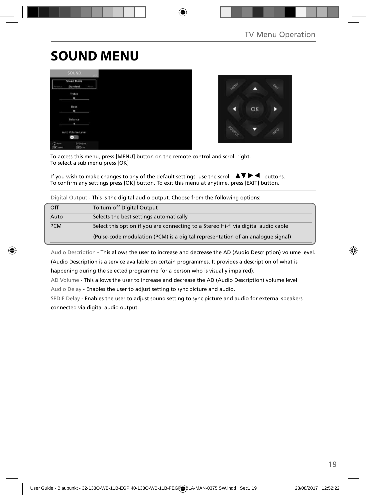# **SOUND MENU**





To access this menu, press [MENU] button on the remote control and scroll right. To select a sub menu press [OK]

If you wish to make changes to any of the default settings, use the scroll  $\blacktriangle \blacktriangledown \blacktriangleright \blacktriangleleft$  buttons. To confirm any settings press [OK] button. To exit this menu at anytime, press [EXIT] button.

| Digital Output - This is the digital audio output. Choose from the following options: |                                                                                    |  |  |
|---------------------------------------------------------------------------------------|------------------------------------------------------------------------------------|--|--|
| Off                                                                                   | To turn off Digital Output                                                         |  |  |
| Auto                                                                                  | Selects the best settings automatically                                            |  |  |
| <b>PCM</b>                                                                            | Select this option if you are connecting to a Stereo Hi-fi via digital audio cable |  |  |
|                                                                                       | (Pulse-code modulation (PCM) is a digital representation of an analogue signal)    |  |  |

Audio Description - This allows the user to increase and decrease the AD (Audio Description) volume level. (Audio Description is a service available on certain programmes. It provides a description of what is happening during the selected programme for a person who is visually impaired).

AD Volume - This allows the user to increase and decrease the AD (Audio Description) volume level.

Audio Delay - Enables the user to adjust setting to sync picture and audio.

SPDIF Delay - Enables the user to adjust sound setting to sync picture and audio for external speakers connected via digital audio output.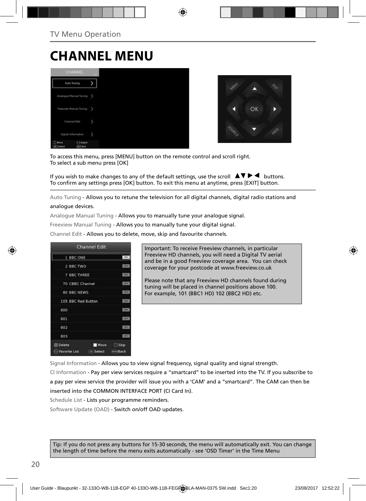# **CHANNEL MENU**





To access this menu, press [MENU] button on the remote control and scroll right. To select a sub menu press [OK]

If you wish to make changes to any of the default settings, use the scroll  $\Box \blacktriangledown \blacktriangleright \blacktriangleleft$  buttons. To confirm any settings press [OK] button. To exit this menu at anytime, press [EXIT] button.

Auto Tuning - Allows you to retune the television for all digital channels, digital radio stations and analogue devices.

Analogue Manual Tuning - Allows you to manually tune your analogue signal.

Freeview Manual Tuning - Allows you to manually tune your digital signal.

Channel Edit - Allows you to delete, move, skip and favourite channels.



Important: To receive Freeview channels, in particular Freeview HD channels, you will need a Digital TV aerial and be in a good Freeview coverage area. You can check coverage for your postcode at www.freeview.co.uk

Please note that any Freeview HD channels found during tuning will be placed in channel positions above 100. For example, 101 (BBC1 HD) 102 (BBC2 HD) etc.

Signal Information - Allows you to view signal frequency, signal quality and signal strength.

CI Information - Pay per view services require a "smartcard" to be inserted into the TV. If you subscribe to a pay per view service the provider will issue you with a 'CAM' and a "smartcard". The CAM can then be inserted into the COMMON INTERFACE PORT (CI Card In).

Schedule List - Lists your programme reminders.

Software Update (OAD) - Switch on/off OAD updates.

Tip: If you do not press any buttons for 15-30 seconds, the menu will automatically exit. You can change the length of time before the menu exits automatically - see 'OSD Timer' in the Time Menu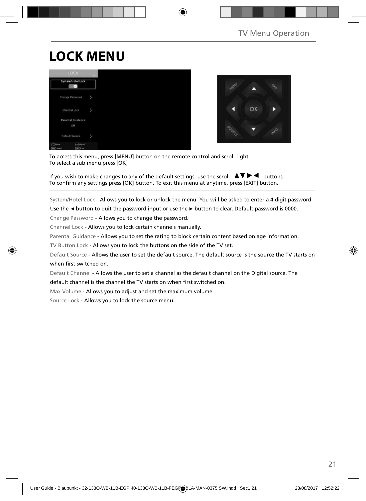# **LOCK MENU**





To access this menu, press [MENU] button on the remote control and scroll right. To select a sub menu press [OK]

If you wish to make changes to any of the default settings, use the scroll  $\blacktriangle \blacktriangledown \blacktriangleright \blacktriangleleft$  buttons. To confirm any settings press [OK] button. To exit this menu at anytime, press [EXIT] button.

System/Hotel Lock - Allows you to lock or unlock the menu. You will be asked to enter a 4 digit password

Use the **◄** button to quit the password input or use the **►** button to clear. Default password is 0000.

Change Password - Allows you to change the password.

Channel Lock - Allows you to lock certain channels manually.

Parental Guidance - Allows you to set the rating to block certain content based on age information.

TV Button Lock - Allows you to lock the buttons on the side of the TV set.

Default Source - Allows the user to set the default source. The default source is the source the TV starts on when first switched on.

Default Channel - Allows the user to set a channel as the default channel on the Digital source. The

default channel is the channel the TV starts on when first switched on.

Max Volume - Allows you to adjust and set the maximum volume.

Source Lock - Allows you to lock the source menu.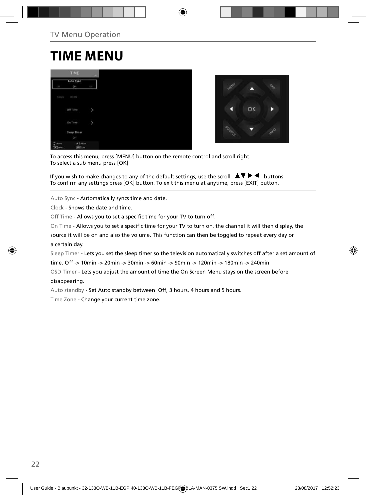## **TIME MENU**

|                              | TIME                              | $-141$ |
|------------------------------|-----------------------------------|--------|
| GTE                          | Auto Sync<br>On                   | ų      |
| Clock                        | 00:07                             |        |
|                              | Off Time                          | p      |
|                              | On Time                           | 5      |
|                              | Sleep Timer<br>Off                |        |
| $(2)$ Hove<br><b>DK</b> Iwed | <b>COASINE</b><br><b>Earl</b> Cat |        |



To access this menu, press [MENU] button on the remote control and scroll right. To select a sub menu press [OK]

If you wish to make changes to any of the default settings, use the scroll  $\blacktriangle \blacktriangledown \blacktriangleright \blacktriangleleft$  buttons. To confirm any settings press [OK] button. To exit this menu at anytime, press [EXIT] button.

Auto Sync - Automatically syncs time and date.

Clock - Shows the date and time.

Off Time - Allows you to set a specific time for your TV to turn off.

On Time - Allows you to set a specific time for your TV to turn on, the channel it will then display, the

source it will be on and also the volume. This function can then be toggled to repeat every day or a certain day.

Sleep Timer - Lets you set the sleep timer so the television automatically switches off after a set amount of

time. Off -> 10min -> 20min -> 30min -> 60min -> 90min -> 120min -> 180min -> 240min.

OSD Timer - Lets you adjust the amount of time the On Screen Menu stays on the screen before

### disappearing.

Auto standby - Set Auto standby between Off, 3 hours, 4 hours and 5 hours.

Time Zone - Change your current time zone.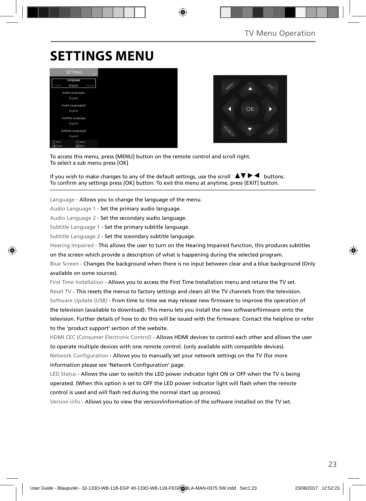# **SETTINGS MENU**





To access this menu, press [MENU] button on the remote control and scroll right. To select a sub menu press [OK]

If you wish to make changes to any of the default settings, use the scroll  $\Box \blacktriangledown \blacktriangleright \blacktriangleleft$  buttons. To confirm any settings press [OK] button. To exit this menu at anytime, press [EXIT] button.

Language - Allows you to change the language of the menu.

Audio Language 1 - Set the primary audio language.

Audio Language 2 - Set the secondary audio language.

Subtitle Language 1 - Set the primary subtitle language.

Subtitle Language 2 - Set the sceondary subtitle language.

Hearing Impaired - This allows the user to turn on the Hearing Impaired function, this produces subtitles

on the screen which provide a description of what is happening during the selected program.

Blue Screen - Changes the background when there is no input between clear and a blue background (Only available on some sources).

First Time Installation - Allows you to access the First Time Installation menu and retune the TV set. Reset TV - This resets the menus to factory settings and clears all the TV channels from the television. Software Update (USB) - From time to time we may release new firmware to improve the operation of the television (available to download). This menu lets you install the new software/firmware onto the television. Further details of how to do this will be issued with the firmware. Contact the helpline or refer to the 'product support' section of the website.

HDMI CEC (Consumer Electronic Control) - Allows HDMI devices to control each other and allows the user to operate multiple devices with one remote control. (only available with compatible devices). Network Configuration - Allows you to manually set your network settings on the TV (for more information please see 'Network Configuration' page.

LED Status - Allows the user to switch the LED power indicator light ON or OFF when the TV is being operated. (When this option is set to OFF the LED power indicator light will flash when the remote control is used and will flash red during the normal start up process).

Version info - Allows you to view the version/information of the software installed on the TV set.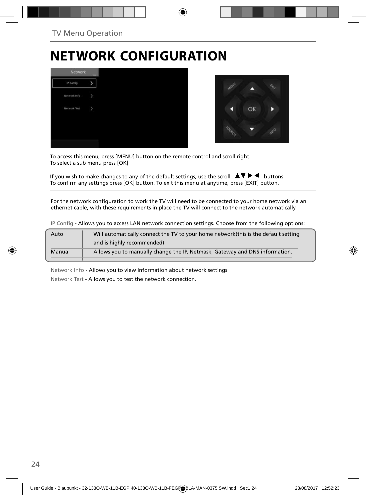# **NETWORK CONFIGURATION**





To access this menu, press [MENU] button on the remote control and scroll right. To select a sub menu press [OK]

If you wish to make changes to any of the default settings, use the scroll  $\blacktriangle \blacktriangledown \blacktriangleright \blacktriangleleft$  buttons. To confirm any settings press [OK] button. To exit this menu at anytime, press [EXIT] button.

For the network configuration to work the TV will need to be connected to your home network via an ethernet cable, with these requirements in place the TV will connect to the network automatically.

IP Config - Allows you to access LAN network connection settings. Choose from the following options:

| Manual | Allows you to manually change the IP, Netmask, Gateway and DNS information.         |
|--------|-------------------------------------------------------------------------------------|
|        | and is highly recommended)                                                          |
| Auto   | Will automatically connect the TV to your home network (this is the default setting |

Network Info - Allows you to view Information about network settings.

Network Test - Allows you to test the network connection.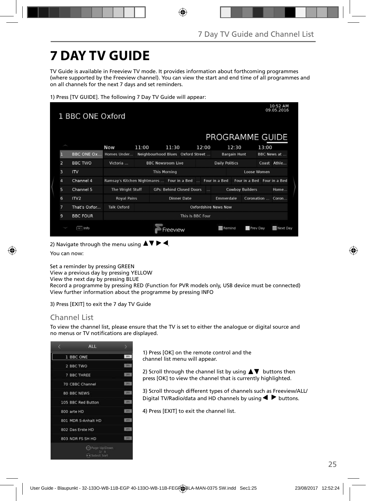# **7 DAY TV GUIDE**

TV Guide is available in Freeview TV mode. It provides information about forthcoming programmes (where supported by the Freeview channel). You can view the start and end time of all programmes and on all channels for the next 7 days and set reminders.

|  |  | 1) Press [TV GUIDE]. The following 7 Day TV Guide will appear: |  |  |  |
|--|--|----------------------------------------------------------------|--|--|--|
|  |  |                                                                |  |  |  |

|                | 1 BBC ONE Oxford  |                                            |       |                          |          |                                   |                  |                             |                        |             |       | 10:52 AM<br>09.05.2016      |
|----------------|-------------------|--------------------------------------------|-------|--------------------------|----------|-----------------------------------|------------------|-----------------------------|------------------------|-------------|-------|-----------------------------|
|                |                   |                                            |       |                          |          |                                   |                  | PROGRAMME GUIDE             |                        |             |       |                             |
|                |                   | Now                                        | 11:00 |                          | 11:30    |                                   | 12:00            |                             | 12:30                  |             | 13:00 |                             |
| П              | <b>BBC ONE OX</b> | Homes Under                                |       |                          |          | Neighbourhood Blues Oxford Street |                  |                             | <b>Bargain Hunt</b>    |             |       | BBC News at                 |
| $\overline{a}$ | <b>BBC TWO</b>    | Victoria                                   |       | <b>BBC Newsroom Live</b> |          |                                   |                  | <b>Daily Politics</b>       |                        |             |       | Coast Athle                 |
| 3              | IV                |                                            |       | <b>This Morning</b>      |          |                                   |                  |                             |                        | Loose Women |       |                             |
| 4              | Channel 4         | Ramsay's Kitchen Nightmares  Four in a Bed |       |                          |          |                                   |                  | Four in a Bed               |                        |             |       | Four in a Bed Four in a Bed |
| 5              | Channel 5         | The Wright Stuff                           |       |                          |          | <b>GPs: Behind Closed Doors</b>   | $\sim$           |                             | <b>Cowboy Builders</b> |             |       | Home                        |
| 6              | ITV <sub>2</sub>  | <b>Royal Pains</b>                         |       |                          |          | <b>Dinner Date</b>                |                  | Emmerdale                   |                        |             |       | Coronation  Coron           |
| 7              | That's Oxfor      | <b>Talk Oxford</b>                         |       |                          |          |                                   |                  | <b>Oxfordshire News Now</b> |                        |             |       |                             |
| 9              | <b>BBC FOUR</b>   |                                            |       |                          |          |                                   | This Is BBC Four |                             |                        |             |       |                             |
|                | in Info           |                                            |       |                          | Freeview |                                   |                  | Remind                      |                        | Prev Day    |       | Next Day                    |

2) Navigate through the menu using  $\Delta \nabla \triangleright 4$ .

You can now:

Set a reminder by pressing GREEN

View a previous day by pressing YELLOW View the next day by pressing BLUE

Record a programme by pressing RED (Function for PVR models only, USB device must be connected) View further information about the programme by pressing INFO

3) Press [EXIT] to exit the 7 day TV Guide

### Channel List

To view the channel list, please ensure that the TV is set to either the analogue or digital source and no menus or TV notifications are displayed.



1) Press [OK] on the remote control and the channel list menu will appear.

2) Scroll through the channel list by using  $\blacktriangle \blacktriangledown$  buttons then press [OK] to view the channel that is currently highlighted.

3) Scroll through different types of channels such as Freeview/ALL/ Digital TV/Radio/data and HD channels by using  $\blacktriangleleft$  buttons.

4) Press [EXIT] to exit the channel list.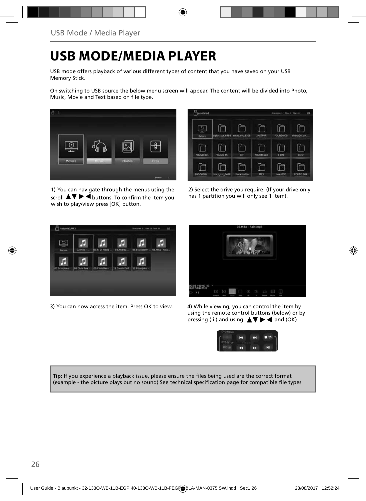# **USB MODE/MEDIA PLAYER**

USB mode offers playback of various different types of content that you have saved on your USB Memory Stick.

On switching to USB source the below menu screen will appear. The content will be divided into Photo, Music, Movie and Text based on file type.



1) You can navigate through the menus using the scroll  $\triangle \triangledown \triangleright \blacktriangleleft$  buttons. To confirm the item you wish to play/view press [OK] button.



2) Select the drive you require. (If your drive only has 1 partition you will only see 1 item).



3) You can now access the item. Press OK to view. 4) While viewing, you can control the item by



using the remote control buttons (below) or by pressing ( i ) and using  $\triangle \blacktriangledown \blacktriangleright \blacktriangleleft$  and (OK)



Tip: If you experience a playback issue, please ensure the files being used are the correct format (example - the picture plays but no sound) See technical specification page for compatible file types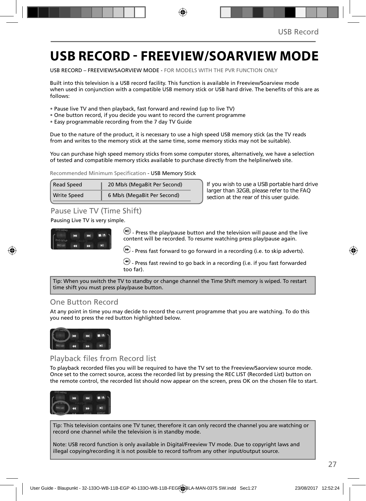## **USB RECORD - FREEVIEW/SOARVIEW MODE**

USB RECORD – FREEVIEW/SAORVIEW MODE - FOR MODELS WITH THE PVR FUNCTION ONLY

Built into this television is a USB record facility. This function is available in Freeview/Soarview mode when used in conjunction with a compatible USB memory stick or USB hard drive. The benefits of this are as follows:

- Pause live TV and then playback, fast forward and rewind (up to live TV)
- One button record, if you decide you want to record the current programme
- Easy programmable recording from the 7 day TV Guide

Due to the nature of the product, it is necessary to use a high speed USB memory stick (as the TV reads from and writes to the memory stick at the same time, some memory sticks may not be suitable).

You can purchase high speed memory sticks from some computer stores, alternatively, we have a selection of tested and compatible memory sticks available to purchase directly from the helpline/web site.

Recommended Minimum Specification - USB Memory Stick

| <b>Read Speed</b>  | 20 Mb/s (MegaBit Per Second) |
|--------------------|------------------------------|
| <b>Write Speed</b> | 6 Mb/s (MegaBit Per Second)  |

**If you wish to use a USB portable hard drive larger than 32GB, please refer to the FAQ section at the rear of this user guide.**

### Pause Live TV (Time Shift)

### Pausing Live TV is very simple.



 $\left(\mathbf{H}\right)$  - Press the play/pause button and the television will pause and the live content will be recorded. To resume watching press play/pause again.

 $\bigoplus$  - Press fast forward to go forward in a recording (i.e. to skip adverts).

 $\bigcirc$  - Press fast rewind to go back in a recording (i.e. if you fast forwarded too far).

Tip: When you switch the TV to standby or change channel the Time Shift memory is wiped. To restart time shift you must press play/pause button.

### One Button Record

At any point in time you may decide to record the current programme that you are watching. To do this you need to press the red button highlighted below.



### Playback files from Record list

To playback recorded files you will be required to have the TV set to the Freeview/Saorview source mode. Once set to the correct source, access the recorded list by pressing the REC LIST (Recorded List) button on the remote control, the recorded list should now appear on the screen, press OK on the chosen file to start.



Tip: This television contains one TV tuner, therefore it can only record the channel you are watching or record one channel while the television is in standby mode.

Note: USB record function is only available in Digital/Freeview TV mode. Due to copyright laws and illegal copying/recording it is not possible to record to/from any other input/output source.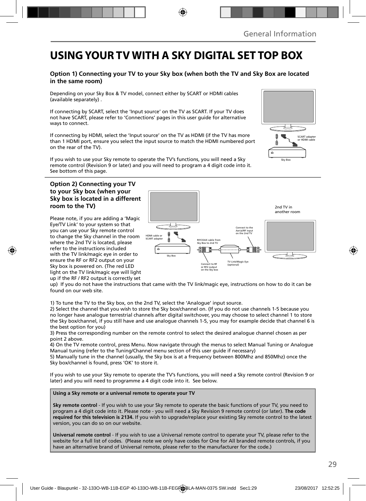## **USING YOUR TV WITH A SKY DIGITAL SET TOP BOX**

### **Option 1) Connecting your TV to your Sky box (when both the TV and Sky Box are located in the same room)**

Depending on your Sky Box & TV model, connect either by SCART or HDMI cables (available separately) .

If connecting by SCART, select the 'Input source' on the TV as SCART. If your TV does not have SCART, please refer to 'Connections' pages in this user guide for alternative ways to connect.

If connecting by HDMI, select the 'Input source' on the TV as HDMI (if the TV has more than 1 HDMI port, ensure you select the input source to match the HDMI numbered port on the rear of the TV).

If you wish to use your Sky remote to operate the TV's functions, you will need a Sky remote control (Revision 9 or later) and you will need to program a 4 digit code into it. See bottom of this page.

### **Option 2) Connecting your TV to your Sky box (when your Sky box is located in a different room to the TV)**

Please note, if you are adding a 'Magic Eye/TV Link' to your system so that you can use your Sky remote control to change the Sky channel in the room where the 2nd TV is located, please refer to the instructions included with the TV link/magic eye in order to ensure the RF or RF2 output on your Sky box is powered on. (The red LED light on the TV link/magic eye will light up if the RF / RF2 output is correctly set



up) If you do not have the instructions that came with the TV link/magic eye, instructions on how to do it can be found on our web site.

1) To tune the TV to the Sky box, on the 2nd TV, select the 'Analogue' input source.

2) Select the channel that you wish to store the Sky box/channel on. (If you do not use channels 1-5 because you no longer have analogue terrestrial channels after digital switchover, you may choose to select channel 1 to store the Sky box/channel, if you still have and use analogue channels 1-5, you may for example decide that channel 6 is the best option for you)

3) Press the corresponding number on the remote control to select the desired analogue channel chosen as per point 2 above.

4) On the TV remote control, press Menu. Now navigate through the menus to select Manual Tuning or Analogue Manual tuning (refer to the Tuning/Channel menu section of this user guide if necessary)

5) Manually tune in the channel (usually, the Sky box is at a frequency between 800Mhz and 850Mhz) once the Sky box/channel is found, press 'OK' to store it.

If you wish to use your Sky remote to operate the TV's functions, you will need a Sky remote control (Revision 9 or later) and you will need to programme a 4 digit code into it. See below.

**Using a Sky remote or a universal remote to operate your TV** 

**Sky remote control** - If you wish to use your Sky remote to operate the basic functions of your TV, you need to program a 4 digit code into it. Please note - you will need a Sky Revision 9 remote control (or later). **The code required for this television is 2134.** If you wish to upgrade/replace your existing Sky remote control to the latest version, you can do so on our website.

**Universal remote control** - If you wish to use a Universal remote control to operate your TV, please refer to the website for a full list of codes. (Please note we only have codes for One for All branded remote controls, if you have an alternative brand of Universal remote, please refer to the manufacturer for the code.)

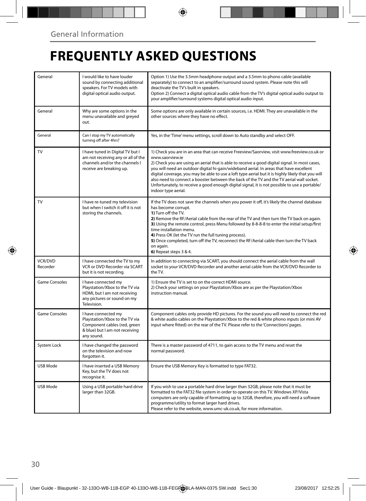# **FREQUENTLY ASKED QUESTIONS**

| General             | I would like to have louder<br>sound by connecting additional<br>speakers. For TV models with<br>digital optical audio output.        | Option 1) Use the 3.5mm headphone output and a 3.5mm to phono cable (available<br>separately) to connect to an amplifier/surround sound system. Please note this will<br>deactivate the TV's built in speakers.<br>Option 2) Connect a digital optical audio cable from the TV's digital optical audio output to<br>your amplifier/surround systems digital optical audio input.                                                                                                                                                                                                                                                    |
|---------------------|---------------------------------------------------------------------------------------------------------------------------------------|-------------------------------------------------------------------------------------------------------------------------------------------------------------------------------------------------------------------------------------------------------------------------------------------------------------------------------------------------------------------------------------------------------------------------------------------------------------------------------------------------------------------------------------------------------------------------------------------------------------------------------------|
| General             | Why are some options in the<br>menu unavailable and greyed<br>out.                                                                    | Some options are only available in certain sources, i.e. HDMI. They are unavailable in the<br>other sources where they have no effect.                                                                                                                                                                                                                                                                                                                                                                                                                                                                                              |
| General             | Can I stop my TV automatically<br>turning off after 4hrs?                                                                             | Yes, in the 'Time' menu settings, scroll down to Auto standby and select OFF.                                                                                                                                                                                                                                                                                                                                                                                                                                                                                                                                                       |
| TV                  | I have tuned in Digital TV but I<br>am not receiving any or all of the<br>channels and/or the channels I<br>receive are breaking up.  | 1) Check you are in an area that can receive Freeview/Saorview, visit www.freeview.co.uk or<br>www.saorview.ie<br>2) Check you are using an aerial that is able to receive a good digital signal. In most cases,<br>you will need an outdoor digital hi-gain/wideband aerial. In areas that have excellent<br>digital coverage, you may be able to use a loft type aerial but it is highly likely that you will<br>also need to connect a booster between the back of the TV and the TV aerial wall socket.<br>Unfortunately, to receive a good enough digital signal, it is not possible to use a portable/<br>indoor type aerial. |
| TV                  | I have re-tuned my television<br>but when I switch it off it is not<br>storing the channels.                                          | If the TV does not save the channels when you power it off, it's likely the channel database<br>has become corrupt.<br>1) Turn off the TV.<br>2) Remove the RF/Aerial cable from the rear of the TV and then turn the TV back on again.<br>3) Using the remote control, press Menu followed by 8-8-8-8 to enter the initial setup/first<br>time installation menu.<br>4) Press OK (let the TV run the full tuning process).<br>5) Once completed, turn off the TV, reconnect the RF/Aerial cable then turn the TV back<br>on again.<br>6) Repeat steps 3 & 4.                                                                       |
| VCR/DVD<br>Recorder | I have connected the TV to my<br>VCR or DVD Recorder via SCART<br>but it is not recording.                                            | In addition to connecting via SCART, you should connect the aerial cable from the wall<br>socket to your VCR/DVD Recorder and another aerial cable from the VCR/DVD Recorder to<br>the TV.                                                                                                                                                                                                                                                                                                                                                                                                                                          |
| Game Consoles       | I have connected my<br>Playstation/Xbox to the TV via<br>HDMI, but I am not receiving<br>any pictures or sound on my<br>Television.   | 1) Ensure the TV is set to on the correct HDMI source.<br>2) Check your settings on your Playstation/Xbox are as per the Playstation/Xbox<br>instruction manual.                                                                                                                                                                                                                                                                                                                                                                                                                                                                    |
| Game Consoles       | I have connected my<br>Playstation/Xbox to the TV via<br>Component cables (red, green<br>& blue) but I am not receiving<br>any sound. | Component cables only provide HD pictures. For the sound you will need to connect the red<br>& white audio cables on the Playstation/Xbox to the red & white phono inputs (or mini AV<br>input where fitted) on the rear of the TV. Please refer to the 'Connections' pages.                                                                                                                                                                                                                                                                                                                                                        |
| System Lock         | I have changed the password<br>on the television and now<br>forgotten it.                                                             | There is a master password of 4711, to gain access to the TV menu and reset the<br>normal password.                                                                                                                                                                                                                                                                                                                                                                                                                                                                                                                                 |
| USB Mode            | I have inserted a USB Memory<br>Key, but the TV does not<br>recognise it.                                                             | Ensure the USB Memory Key is formatted to type FAT32.                                                                                                                                                                                                                                                                                                                                                                                                                                                                                                                                                                               |
| USB Mode            | Using a USB portable hard drive<br>larger than 32GB.                                                                                  | If you wish to use a portable hard drive larger than 32GB, please note that it must be<br>formatted to the FAT32 file system in order to operate on this TV. Windows XP/Vista<br>computers are only capable of formatting up to 32GB, therefore, you will need a software<br>programme/utility to format larger hard drives.<br>Please refer to the website, www.umc-uk.co.uk, for more information.                                                                                                                                                                                                                                |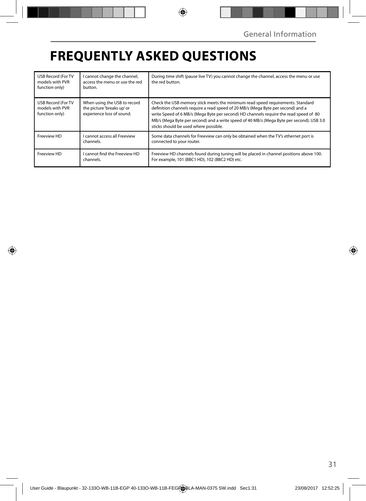# **FREQUENTLY ASKED QUESTIONS**

| <b>USB Record (For TV</b><br>models with PVR<br>function only) | I cannot change the channel,<br>access the menu or use the red<br>button.               | During time shift (pause live TV) you cannot change the channel, access the menu or use<br>the red button.                                                                                                                                                                                                                                                                                       |
|----------------------------------------------------------------|-----------------------------------------------------------------------------------------|--------------------------------------------------------------------------------------------------------------------------------------------------------------------------------------------------------------------------------------------------------------------------------------------------------------------------------------------------------------------------------------------------|
| <b>USB Record (For TV</b><br>models with PVR<br>function only) | When using the USB to record<br>the picture 'breaks up' or<br>experience loss of sound. | Check the USB memory stick meets the minimum read speed requirements. Standard<br>definition channels require a read speed of 20 MB/s (Mega Byte per second) and a<br>write Speed of 6 MB/s (Mega Byte per second) HD channels require the read speed of 80<br>MB/s (Mega Byte per second) and a write speed of 40 MB/s (Mega Byte per second). USB 3.0<br>sticks should be used where possible. |
| Freeview HD                                                    | I cannot access all Freeview<br>channels.                                               | Some data channels for Freeview can only be obtained when the TV's ethernet port is<br>connected to your router.                                                                                                                                                                                                                                                                                 |
| Freeview HD                                                    | I cannot find the Freeview HD<br>channels.                                              | Freeview HD channels found during tuning will be placed in channel positions above 100.<br>For example, 101 (BBC1 HD), 102 (BBC2 HD) etc.                                                                                                                                                                                                                                                        |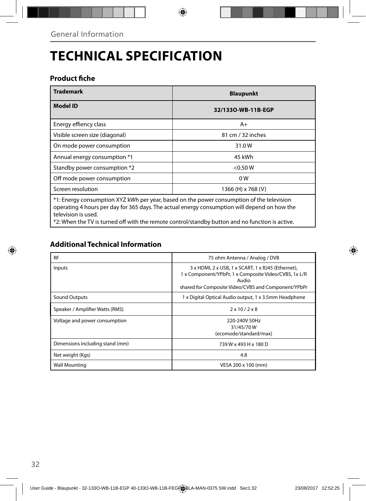# **TECHNICAL SPECIFICATION**

### **Product fiche**

| <b>Trademark</b>                                                                                                                                                                                                 | <b>Blaupunkt</b>   |  |  |  |  |
|------------------------------------------------------------------------------------------------------------------------------------------------------------------------------------------------------------------|--------------------|--|--|--|--|
| <b>Model ID</b>                                                                                                                                                                                                  | 32/1330-WB-11B-EGP |  |  |  |  |
| Energy effiency class                                                                                                                                                                                            | $A+$               |  |  |  |  |
| Visible screen size (diagonal)                                                                                                                                                                                   | 81 cm / 32 inches  |  |  |  |  |
| On mode power consumption                                                                                                                                                                                        | 31.0W              |  |  |  |  |
| Annual energy consumption *1                                                                                                                                                                                     | 45 kWh             |  |  |  |  |
| Standby power consumption *2                                                                                                                                                                                     | $<$ 0.50 W         |  |  |  |  |
| Off mode power consumption                                                                                                                                                                                       | 0 <sub>W</sub>     |  |  |  |  |
| Screen resolution                                                                                                                                                                                                | 1366 (H) x 768 (V) |  |  |  |  |
| *1: Energy consumption XYZ kWh per year, based on the power consumption of the television<br>operating 4 hours per day for 365 days. The actual energy consumption will depend on how the<br>television is used. |                    |  |  |  |  |

\*2: When the TV is turned off with the remote control/standby button and no function is active.

## **Additional Technical Information**

| <b>RF</b>                       | 75 ohm Antenna / Analog / DVB                                                                                                                                               |
|---------------------------------|-----------------------------------------------------------------------------------------------------------------------------------------------------------------------------|
| Inputs                          | 3 x HDMI, 2 x USB, 1 x SCART, 1 x RJ45 (Ethernet),<br>1 x Component/YPbPr, 1 x Composite Video/CVBS, 1x L/R<br>Audio<br>shared for Composite Video/CVBS and Component/YPbPr |
| Sound Outputs                   | 1 x Digital Optical Audio output, 1 x 3.5mm Headphone                                                                                                                       |
| Speaker / Amplifier Watts (RMS) | $2 \times 10 / 2 \times 8$                                                                                                                                                  |
| Voltage and power consumption   | 220-240V 50Hz<br>31/45/70W<br>(ecomode/standard/max)                                                                                                                        |
| Dimensions including stand (mm) | 739 W x 493 H x 180 D                                                                                                                                                       |
| Net weight (Kgs)                | 4.8                                                                                                                                                                         |
| <b>Wall Mounting</b>            | VESA 200 x 100 (mm)                                                                                                                                                         |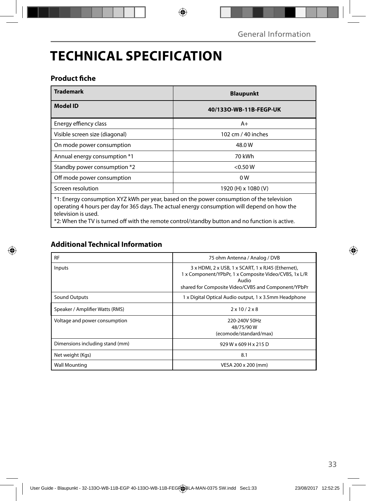# **TECHNICAL SPECIFICATION**

### **Product fiche**

| <b>Trademark</b>                                                                                                                                                                                                 | <b>Blaupunkt</b>       |  |  |  |  |
|------------------------------------------------------------------------------------------------------------------------------------------------------------------------------------------------------------------|------------------------|--|--|--|--|
| Model ID                                                                                                                                                                                                         | 40/1330-WB-11B-FEGP-UK |  |  |  |  |
| Energy effiency class                                                                                                                                                                                            | $A+$                   |  |  |  |  |
| Visible screen size (diagonal)                                                                                                                                                                                   | 102 cm / 40 inches     |  |  |  |  |
| On mode power consumption                                                                                                                                                                                        | 48.0 W                 |  |  |  |  |
| Annual energy consumption *1                                                                                                                                                                                     | 70 kWh                 |  |  |  |  |
| Standby power consumption *2                                                                                                                                                                                     | < 0.50 W               |  |  |  |  |
| Off mode power consumption                                                                                                                                                                                       | 0 <sub>W</sub>         |  |  |  |  |
| Screen resolution                                                                                                                                                                                                | 1920 (H) x 1080 (V)    |  |  |  |  |
| *1: Energy consumption XYZ kWh per year, based on the power consumption of the television<br>operating 4 hours per day for 365 days. The actual energy consumption will depend on how the<br>television is used. |                        |  |  |  |  |

\*2: When the TV is turned off with the remote control/standby button and no function is active.

## **Additional Technical Information**

| <b>RF</b>                       | 75 ohm Antenna / Analog / DVB                                                                                                                                               |
|---------------------------------|-----------------------------------------------------------------------------------------------------------------------------------------------------------------------------|
| Inputs                          | 3 x HDMI, 2 x USB, 1 x SCART, 1 x RJ45 (Ethernet),<br>1 x Component/YPbPr, 1 x Composite Video/CVBS, 1x L/R<br>Audio<br>shared for Composite Video/CVBS and Component/YPbPr |
| Sound Outputs                   | 1 x Digital Optical Audio output, 1 x 3.5mm Headphone                                                                                                                       |
| Speaker / Amplifier Watts (RMS) | $2 \times 10 / 2 \times 8$                                                                                                                                                  |
| Voltage and power consumption   | 220-240V 50Hz<br>48/75/90W<br>(ecomode/standard/max)                                                                                                                        |
| Dimensions including stand (mm) | 929 W x 609 H x 215 D                                                                                                                                                       |
| Net weight (Kgs)                | 8.1                                                                                                                                                                         |
| <b>Wall Mounting</b>            | VESA 200 x 200 (mm)                                                                                                                                                         |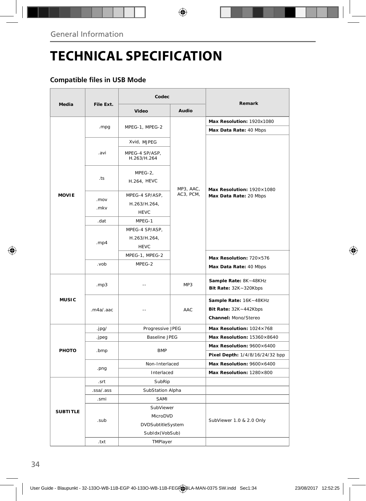# **TECHNICAL SPECIFICATION**

### **Compatible files in USB Mode**

|                 |              | Codec                                         |           | Remark                                                                  |  |  |  |
|-----------------|--------------|-----------------------------------------------|-----------|-------------------------------------------------------------------------|--|--|--|
| Media           | File Ext.    | Video                                         | Audio     |                                                                         |  |  |  |
|                 |              |                                               |           | Max Resolution: 1920x1080                                               |  |  |  |
|                 | .mpg         | MPEG-1, MPEG-2                                |           | Max Data Rate: 40 Mbps                                                  |  |  |  |
|                 |              | Xvid, MJPEG                                   |           |                                                                         |  |  |  |
|                 | .avi         | MPEG-4 SP/ASP,<br>H.263/H.264                 |           |                                                                         |  |  |  |
|                 | .ts          | MPEG-2,<br>H.264, HEVC                        | MP3, AAC, | Max Resolution: 1920×1080                                               |  |  |  |
| <b>MOVIE</b>    | .mov<br>.mkv | MPEG-4 SP/ASP,<br>H.263/H.264,<br><b>HEVC</b> | AC3, PCM, | Max Data Rate: 20 Mbps                                                  |  |  |  |
|                 | .dat         | MPEG-1                                        |           |                                                                         |  |  |  |
|                 | . $mp4$      | MPEG-4 SP/ASP,<br>H.263/H.264,<br><b>HEVC</b> |           |                                                                         |  |  |  |
|                 |              | MPEG-1, MPEG-2                                |           | Max Resolution: 720×576                                                 |  |  |  |
|                 | .vob         | MPEG-2                                        |           | Max Data Rate: 40 Mbps                                                  |  |  |  |
|                 | .mp3         | $\overline{a}$                                | MP3       | Sample Rate: 8K~48KHz<br>Bit Rate: 32K~320Kbps                          |  |  |  |
| <b>MUSIC</b>    | .m4a/.aac    | Ξ.                                            | AAC       | Sample Rate: 16K~48KHz<br>Bit Rate: 32K~442Kbps<br>Channel: Mono/Stereo |  |  |  |
|                 | .jpg/        | Progressive JPEG                              |           | Max Resolution: 1024×768                                                |  |  |  |
|                 | .jpeg        | <b>Baseline JPEG</b>                          |           | Max Resolution: 15360×8640                                              |  |  |  |
| PHOTO           | .bmp         | <b>BMP</b>                                    |           | Max Resolution: 9600×6400                                               |  |  |  |
|                 |              |                                               |           | Pixel Depth: 1/4/8/16/24/32 bpp                                         |  |  |  |
|                 | .png         | Non-Interlaced                                |           | Max Resolution: 9600×6400                                               |  |  |  |
|                 |              | Interlaced                                    |           | Max Resolution: 1280×800                                                |  |  |  |
|                 | .srt         | SubRip                                        |           |                                                                         |  |  |  |
|                 | .ssa/.ass    | SubStation Alpha                              |           |                                                                         |  |  |  |
|                 | .smi         | SAMI                                          |           |                                                                         |  |  |  |
| <b>SUBTITLE</b> |              | SubViewer                                     |           |                                                                         |  |  |  |
|                 | .sub         | MicroDVD                                      |           | SubViewer 1.0 & 2.0 Only                                                |  |  |  |
|                 |              | DVDSubtitleSystem                             |           |                                                                         |  |  |  |
|                 |              | SubIdx (VobSub)                               |           |                                                                         |  |  |  |
|                 | .txt         | TMPlayer                                      |           |                                                                         |  |  |  |